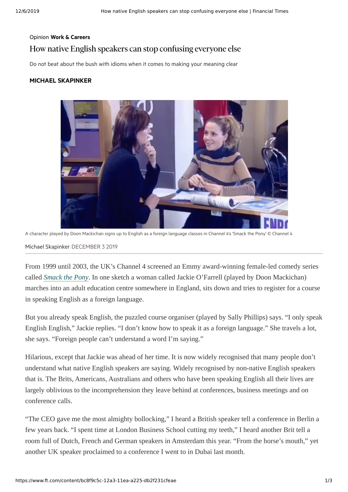## Opinion Work & [Careers](https://www.ft.com/work-careers) How native English speakerscan stop confusing everyone else

Do not beat about the bush with idioms when it comes to making your meaning clear

#### MICHAEL [SKAPINKER](https://www.ft.com/michael-skapinker)



A character played by Doon Mackichan signs up to English as a foreign language classes in Channel 4's 'Smack the Pony' © Channel 4

Michael [Skapinker](https://www.ft.com/michael-skapinker) DECEMBER 3 2019

From 1999 until 2003, the UK's Channel 4 screened an Emmy award-winning female-led comedy series called *[Smack the Pony](https://amara.org/en/videos/LZE0WL7zP9ph/en/2139397/)*. In one sketch a woman called Jackie O'Farrell (played by Doon Mackichan) marches into an adult education centre somewhere in England, sits down and tries to register for a course in speaking English as a foreign language.

But you already speak English, the puzzled course organiser (played by Sally Phillips) says. "I only speak English English," Jackie replies. "I don't know how to speak it as a foreign language." She travels a lot, she says. "Foreign people can't understand a word I'm saying."

Hilarious, except that Jackie was ahead of her time. It is now widely recognised that many people don't understand what native English speakers are saying. Widely recognised by non-native English speakers that is. The Brits, Americans, Australians and others who have been speaking English all their lives are largely oblivious to the incomprehension they leave behind at conferences, business meetings and on conference calls.

"The CEO gave me the most almighty bollocking," I heard a British speaker tell a conference in Berlin a few years back. "I spent time at London Business School cutting my teeth," I heard another Brit tell a room full of Dutch, French and German speakers in Amsterdam this year. "From the horse's mouth," yet another UK speaker proclaimed to a conference I went to in Dubai last month.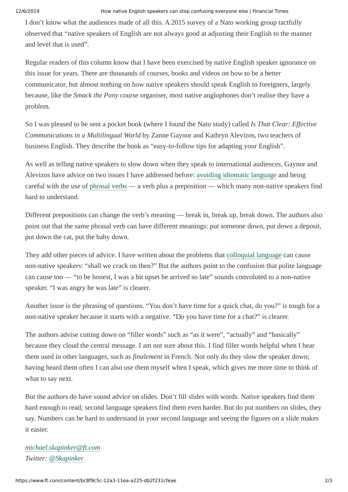#### 12/6/2019 How native English speakers can stop confusing everyone else | Financial Times

I don't know what the audiences made of all this. A 2015 survey of a Nato working group tactfully observed that "native speakers of English are not always good at adjusting their English to the manner and level that is used".

Regular readers of this column know that I have been exercised by native English speaker ignorance on this issue for years. There are thousands of courses, books and videos on how to be a better communicator, but almost nothing on how native speakers should speak English to foreigners, largely because, like the *Smack the Pony* course organiser, most native anglophones don't realise they have a problem.

So I was pleased to be sent a pocket book (where I found the Nato study) called *Is That Clear: Effective Communications in a Multilingual World* by Zanne Gaynor and Kathryn Alevizos, two teachers of business English. They describe the book as "easy-to-follow tips for adapting your English".

As well as telling native speakers to slow down when they speak to international audiences, Gaynor and Alevizos have advice on two issues I have addressed before: [avoiding idiomatic language](https://www.ft.com/content/18a5b79e-77fa-11e1-b237-00144feab49a) and being careful with the use of [phrasal verbs](https://www.ft.com/content/0dea9d88-4c6a-11e8-97e4-13afc22d86d4) — a verb plus a preposition — which many non-native speakers find hard to understand.

Different prepositions can change the verb's meaning — break in, break up, break down. The authors also point out that the same phrasal verb can have different meanings: put someone down, put down a deposit, put down the cat, put the baby down.

They add other pieces of advice. I have written about the problems that [colloquial language](https://www.ft.com/content/26692848-f59b-11e5-96db-fc683b5e52db) can cause non-native speakers: "shall we crack on then?" But the authors point to the confusion that polite language can cause too — "to be honest, I was a bit upset he arrived so late" sounds convoluted to a non-native speaker. "I was angry he was late" is clearer.

Another issue is the phrasing of questions. "You don't have time for a quick chat, do you?" is tough for a non-native speaker because it starts with a negative. "Do you have time for a chat?" is clearer.

The authors advise cutting down on "filler words" such as "as it were", "actually" and "basically" because they cloud the central message. I am not sure about this. I find filler words helpful when I hear them used in other languages, such as *finalement* in French. Not only do they slow the speaker down; having heard them often I can also use them myself when I speak, which gives me more time to think of what to say next.

But the authors do have sound advice on slides. Don't fill slides with words. Native speakers find them hard enough to read; second language speakers find them even harder. But do put numbers on slides, they say. Numbers can be hard to understand in your second language and seeing the figures on a slide makes it easier.

### *[michael.skapinker@ft.com](mailto:michael.skapinker@ft.com) Twitter: [@Skapinker](https://twitter.com/Skapinker)*